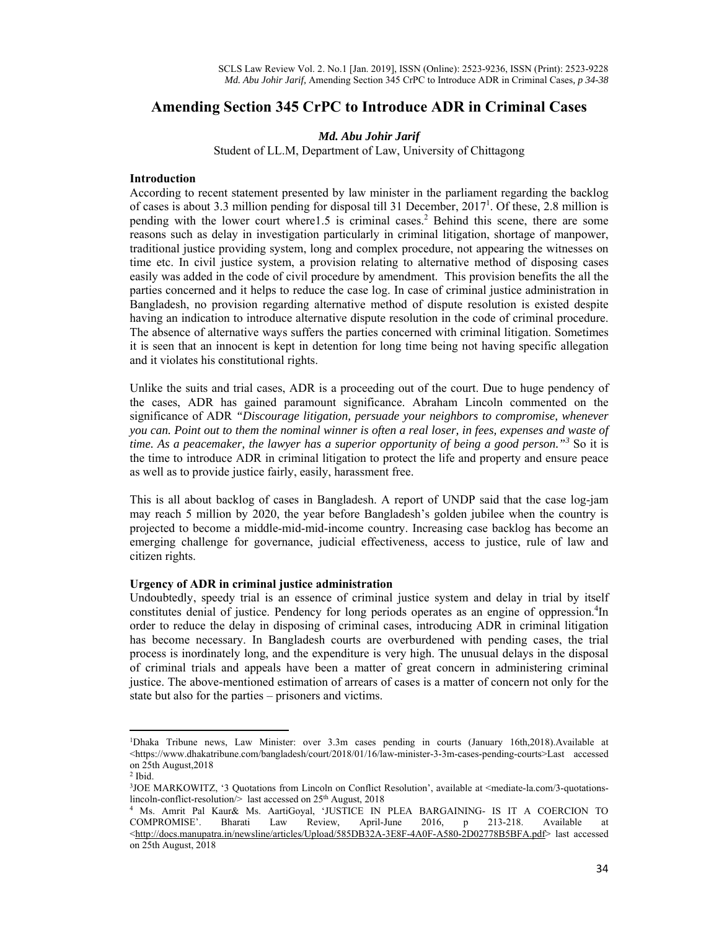# **Amending Section 345 CrPC to Introduce ADR in Criminal Cases**

# *Md. Abu Johir Jarif*

Student of LL.M, Department of Law, University of Chittagong

## **Introduction**

According to recent statement presented by law minister in the parliament regarding the backlog of cases is about 3.3 million pending for disposal till 31 December, 2017<sup>1</sup>. Of these, 2.8 million is pending with the lower court where1.5 is criminal cases.<sup>2</sup> Behind this scene, there are some reasons such as delay in investigation particularly in criminal litigation, shortage of manpower, traditional justice providing system, long and complex procedure, not appearing the witnesses on time etc. In civil justice system, a provision relating to alternative method of disposing cases easily was added in the code of civil procedure by amendment. This provision benefits the all the parties concerned and it helps to reduce the case log. In case of criminal justice administration in Bangladesh, no provision regarding alternative method of dispute resolution is existed despite having an indication to introduce alternative dispute resolution in the code of criminal procedure. The absence of alternative ways suffers the parties concerned with criminal litigation. Sometimes it is seen that an innocent is kept in detention for long time being not having specific allegation and it violates his constitutional rights.

Unlike the suits and trial cases, ADR is a proceeding out of the court. Due to huge pendency of the cases, ADR has gained paramount significance. Abraham Lincoln commented on the significance of ADR *"Discourage litigation, persuade your neighbors to compromise, whenever you can. Point out to them the nominal winner is often a real loser, in fees, expenses and waste of*  time. As a peacemaker, the lawyer has a superior opportunity of being a good person."<sup>3</sup> So it is the time to introduce ADR in criminal litigation to protect the life and property and ensure peace as well as to provide justice fairly, easily, harassment free.

This is all about backlog of cases in Bangladesh. A report of UNDP said that the case log-jam may reach 5 million by 2020, the year before Bangladesh's golden jubilee when the country is projected to become a middle-mid-mid-income country. Increasing case backlog has become an emerging challenge for governance, judicial effectiveness, access to justice, rule of law and citizen rights.

# **Urgency of ADR in criminal justice administration**

Undoubtedly, speedy trial is an essence of criminal justice system and delay in trial by itself constitutes denial of justice. Pendency for long periods operates as an engine of oppression.<sup>4</sup>In order to reduce the delay in disposing of criminal cases, introducing ADR in criminal litigation has become necessary. In Bangladesh courts are overburdened with pending cases, the trial process is inordinately long, and the expenditure is very high. The unusual delays in the disposal of criminal trials and appeals have been a matter of great concern in administering criminal justice. The above-mentioned estimation of arrears of cases is a matter of concern not only for the state but also for the parties – prisoners and victims.

<sup>1</sup> Dhaka Tribune news, Law Minister: over 3.3m cases pending in courts (January 16th,2018).Available at <https://www.dhakatribune.com/bangladesh/court/2018/01/16/law-minister-3-3m-cases-pending-courts>Last accessed on 25th August,2018

<sup>2</sup> Ibid.

<sup>&</sup>lt;sup>3</sup>JOE MARKOWITZ, '3 Quotations from Lincoln on Conflict Resolution', available at <mediate-la.com/3-quotationslincoln-conflict-resolution/> last accessed on 25<sup>th</sup> August, 2018

Ms. Amrit Pal Kaur& Ms. AartiGoyal, 'JUSTICE IN PLEA BARGAINING- IS IT A COERCION TO COMPROMISE'. Bharati Law Review, April-June 2016, p 213-218. Available at <http://docs.manupatra.in/newsline/articles/Upload/585DB32A-3E8F-4A0F-A580-2D02778B5BFA.pdf> last accessed on 25th August, 2018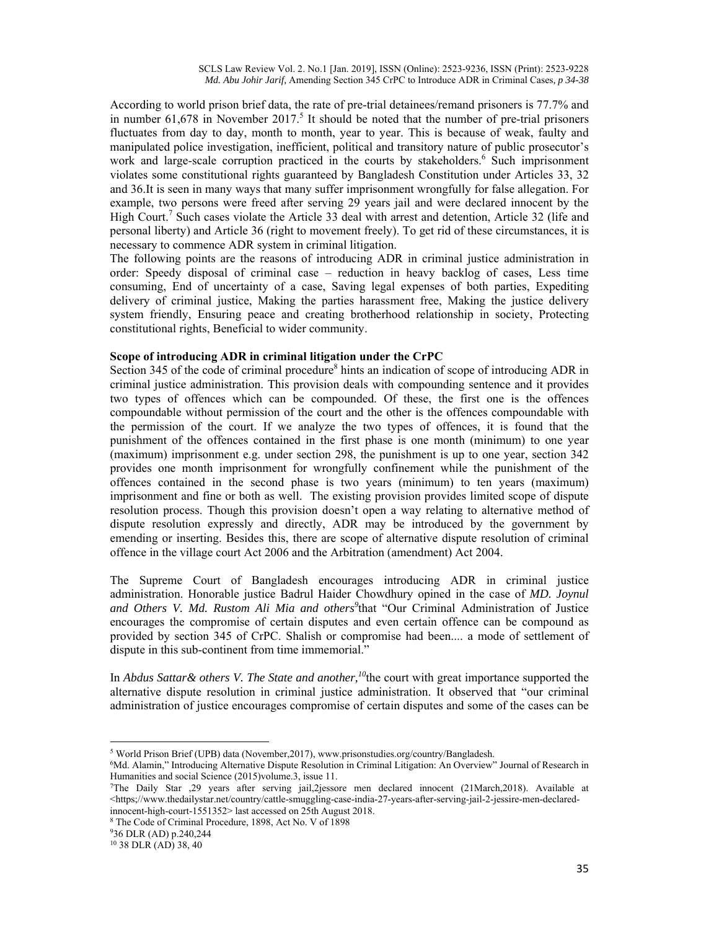According to world prison brief data, the rate of pre-trial detainees/remand prisoners is 77.7% and in number  $61,678$  in November  $2017<sup>5</sup>$  It should be noted that the number of pre-trial prisoners fluctuates from day to day, month to month, year to year. This is because of weak, faulty and manipulated police investigation, inefficient, political and transitory nature of public prosecutor's work and large-scale corruption practiced in the courts by stakeholders.<sup>6</sup> Such imprisonment violates some constitutional rights guaranteed by Bangladesh Constitution under Articles 33, 32 and 36.It is seen in many ways that many suffer imprisonment wrongfully for false allegation. For example, two persons were freed after serving 29 years jail and were declared innocent by the High Court.<sup>7</sup> Such cases violate the Article 33 deal with arrest and detention, Article 32 (life and personal liberty) and Article 36 (right to movement freely). To get rid of these circumstances, it is necessary to commence ADR system in criminal litigation.

The following points are the reasons of introducing ADR in criminal justice administration in order: Speedy disposal of criminal case – reduction in heavy backlog of cases, Less time consuming, End of uncertainty of a case, Saving legal expenses of both parties, Expediting delivery of criminal justice, Making the parties harassment free, Making the justice delivery system friendly, Ensuring peace and creating brotherhood relationship in society, Protecting constitutional rights, Beneficial to wider community.

### **Scope of introducing ADR in criminal litigation under the CrPC**

Section 345 of the code of criminal procedure<sup>8</sup> hints an indication of scope of introducing ADR in criminal justice administration. This provision deals with compounding sentence and it provides two types of offences which can be compounded. Of these, the first one is the offences compoundable without permission of the court and the other is the offences compoundable with the permission of the court. If we analyze the two types of offences, it is found that the punishment of the offences contained in the first phase is one month (minimum) to one year (maximum) imprisonment e.g. under section 298, the punishment is up to one year, section 342 provides one month imprisonment for wrongfully confinement while the punishment of the offences contained in the second phase is two years (minimum) to ten years (maximum) imprisonment and fine or both as well. The existing provision provides limited scope of dispute resolution process. Though this provision doesn't open a way relating to alternative method of dispute resolution expressly and directly, ADR may be introduced by the government by emending or inserting. Besides this, there are scope of alternative dispute resolution of criminal offence in the village court Act 2006 and the Arbitration (amendment) Act 2004.

The Supreme Court of Bangladesh encourages introducing ADR in criminal justice administration. Honorable justice Badrul Haider Chowdhury opined in the case of *MD. Joynul and Others V. Md. Rustom Ali Mia and others<sup>9</sup>* that "Our Criminal Administration of Justice encourages the compromise of certain disputes and even certain offence can be compound as provided by section 345 of CrPC. Shalish or compromise had been.... a mode of settlement of dispute in this sub-continent from time immemorial."

In *Abdus Sattar& others V. The State and another,<sup>10</sup>*the court with great importance supported the alternative dispute resolution in criminal justice administration. It observed that "our criminal administration of justice encourages compromise of certain disputes and some of the cases can be

<sup>&</sup>lt;sup>5</sup> World Prison Brief (UPB) data (November, 2017), www.prisonstudies.org/country/Bangladesh.<br><sup>6</sup>Md Alamin "Introducing Alternative Dispute Resolution in Criminal Litigation: An Overview"

<sup>&</sup>lt;sup>6</sup>Md. Alamin," Introducing Alternative Dispute Resolution in Criminal Litigation: An Overview" Journal of Research in Humanities and social Science (2015)volume.3, issue 11.

<sup>7</sup> The Daily Star ,29 years after serving jail,2jessore men declared innocent (21March,2018). Available at <https;//www.thedailystar.net/country/cattle-smuggling-case-india-27-years-after-serving-jail-2-jessire-men-declaredinnocent-high-court-1551352> last accessed on 25th August 2018.

<sup>8</sup> The Code of Criminal Procedure, 1898, Act No. V of 1898

<sup>9</sup> 36 DLR (AD) p.240,244

<sup>10 38</sup> DLR (AD) 38, 40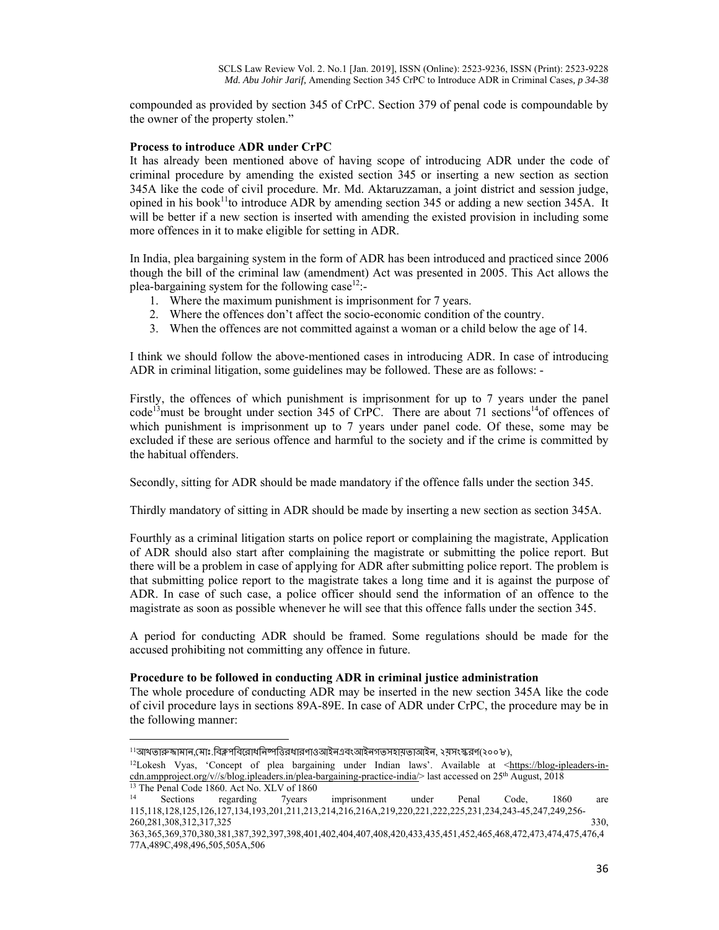compounded as provided by section 345 of CrPC. Section 379 of penal code is compoundable by the owner of the property stolen."

### **Process to introduce ADR under CrPC**

It has already been mentioned above of having scope of introducing ADR under the code of criminal procedure by amending the existed section 345 or inserting a new section as section 345A like the code of civil procedure. Mr. Md. Aktaruzzaman, a joint district and session judge, opined in his book<sup>11</sup>to introduce ADR by amending section 345 or adding a new section 345A. It will be better if a new section is inserted with amending the existed provision in including some more offences in it to make eligible for setting in ADR.

In India, plea bargaining system in the form of ADR has been introduced and practiced since 2006 though the bill of the criminal law (amendment) Act was presented in 2005. This Act allows the plea-bargaining system for the following case<sup>12</sup>:-

- 1. Where the maximum punishment is imprisonment for 7 years.
- 2. Where the offences don't affect the socio-economic condition of the country.
- 3. When the offences are not committed against a woman or a child below the age of 14.

I think we should follow the above-mentioned cases in introducing ADR. In case of introducing ADR in criminal litigation, some guidelines may be followed. These are as follows: -

Firstly, the offences of which punishment is imprisonment for up to 7 years under the panel code<sup>13</sup>must be brought under section 345 of CrPC. There are about 71 sections<sup>14</sup>of offences of which punishment is imprisonment up to 7 years under panel code. Of these, some may be excluded if these are serious offence and harmful to the society and if the crime is committed by the habitual offenders.

Secondly, sitting for ADR should be made mandatory if the offence falls under the section 345.

Thirdly mandatory of sitting in ADR should be made by inserting a new section as section 345A.

Fourthly as a criminal litigation starts on police report or complaining the magistrate, Application of ADR should also start after complaining the magistrate or submitting the police report. But there will be a problem in case of applying for ADR after submitting police report. The problem is that submitting police report to the magistrate takes a long time and it is against the purpose of ADR. In case of such case, a police officer should send the information of an offence to the magistrate as soon as possible whenever he will see that this offence falls under the section 345.

A period for conducting ADR should be framed. Some regulations should be made for the accused prohibiting not committing any offence in future.

#### **Procedure to be followed in conducting ADR in criminal justice administration**

The whole procedure of conducting ADR may be inserted in the new section 345A like the code of civil procedure lays in sections 89A-89E. In case of ADR under CrPC, the procedure may be in the following manner:

<sup>&</sup>lt;sup>11</sup>আখতারুজামান,মোঃ.বিক্লপবিরোধনিষ্পত্তিরধারণাওআইনএবংআইনগতসহায়তাআইন, ২য়সংস্করণ(২০০৮),<br><sup>12</sup>Lokesh Vyas, 'Concept of plea bargaining under Indian laws'. Available at <<u>https://blog-ipleaders-in-</u> cdn.ampproject.org/v//s/blog.ipleaders.in/plea-bargaining-practice-india/> last accessed on 25th August, 2018 13 The Penal Code 1860. Act No. XLV of 1860

<sup>14</sup> Sections regarding 7years imprisonment under Penal Code, 1860 are 115,118,128,125,126,127,134,193,201,211,213,214,216,216A,219,220,221,222,225,231,234,243-45,247,249,256- 260,281,308,312,317,325 330,

<sup>363,365,369,370,380,381,387,392,397,398,401,402,404,407,408,420,433,435,451,452,465,468,472,473,474,475,476,4</sup> 77A,489C,498,496,505,505A,506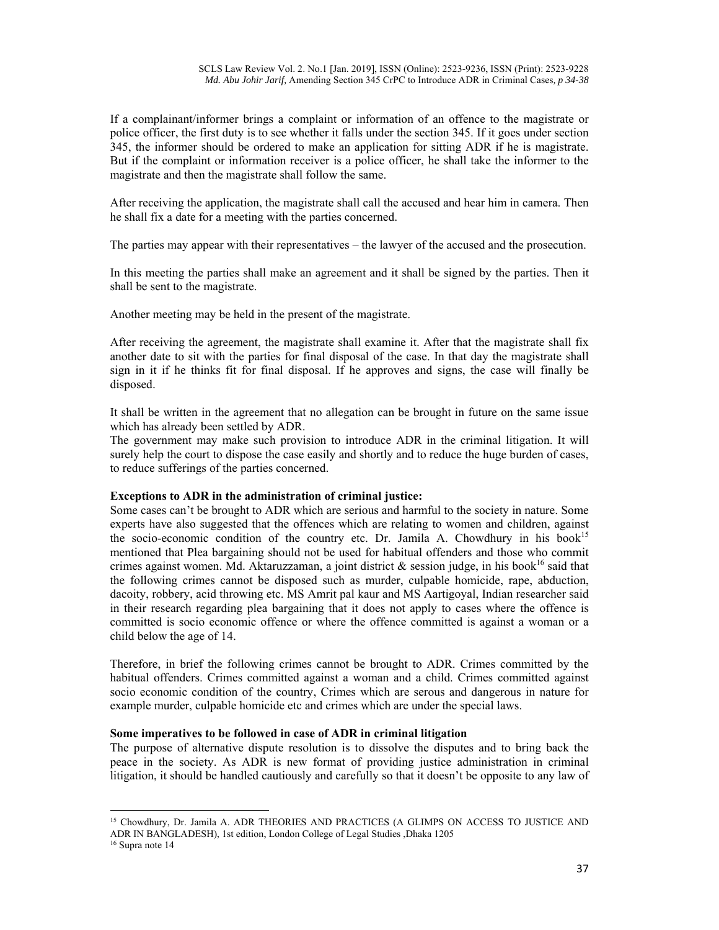If a complainant/informer brings a complaint or information of an offence to the magistrate or police officer, the first duty is to see whether it falls under the section 345. If it goes under section 345, the informer should be ordered to make an application for sitting ADR if he is magistrate. But if the complaint or information receiver is a police officer, he shall take the informer to the magistrate and then the magistrate shall follow the same.

After receiving the application, the magistrate shall call the accused and hear him in camera. Then he shall fix a date for a meeting with the parties concerned.

The parties may appear with their representatives – the lawyer of the accused and the prosecution.

In this meeting the parties shall make an agreement and it shall be signed by the parties. Then it shall be sent to the magistrate.

Another meeting may be held in the present of the magistrate.

After receiving the agreement, the magistrate shall examine it. After that the magistrate shall fix another date to sit with the parties for final disposal of the case. In that day the magistrate shall sign in it if he thinks fit for final disposal. If he approves and signs, the case will finally be disposed.

It shall be written in the agreement that no allegation can be brought in future on the same issue which has already been settled by ADR.

The government may make such provision to introduce ADR in the criminal litigation. It will surely help the court to dispose the case easily and shortly and to reduce the huge burden of cases, to reduce sufferings of the parties concerned.

# **Exceptions to ADR in the administration of criminal justice:**

Some cases can't be brought to ADR which are serious and harmful to the society in nature. Some experts have also suggested that the offences which are relating to women and children, against the socio-economic condition of the country etc. Dr. Jamila A. Chowdhury in his book<sup>15</sup> mentioned that Plea bargaining should not be used for habitual offenders and those who commit crimes against women. Md. Aktaruzzaman, a joint district  $\&$  session judge, in his book<sup>16</sup> said that the following crimes cannot be disposed such as murder, culpable homicide, rape, abduction, dacoity, robbery, acid throwing etc. MS Amrit pal kaur and MS Aartigoyal, Indian researcher said in their research regarding plea bargaining that it does not apply to cases where the offence is committed is socio economic offence or where the offence committed is against a woman or a child below the age of 14.

Therefore, in brief the following crimes cannot be brought to ADR. Crimes committed by the habitual offenders. Crimes committed against a woman and a child. Crimes committed against socio economic condition of the country, Crimes which are serous and dangerous in nature for example murder, culpable homicide etc and crimes which are under the special laws.

#### **Some imperatives to be followed in case of ADR in criminal litigation**

The purpose of alternative dispute resolution is to dissolve the disputes and to bring back the peace in the society. As ADR is new format of providing justice administration in criminal litigation, it should be handled cautiously and carefully so that it doesn't be opposite to any law of

<sup>&</sup>lt;sup>15</sup> Chowdhury, Dr. Jamila A. ADR THEORIES AND PRACTICES (A GLIMPS ON ACCESS TO JUSTICE AND ADR IN BANGLADESH), 1st edition, London College of Legal Studies ,Dhaka 1205 $^{16}$  Supra note 14  $\,$